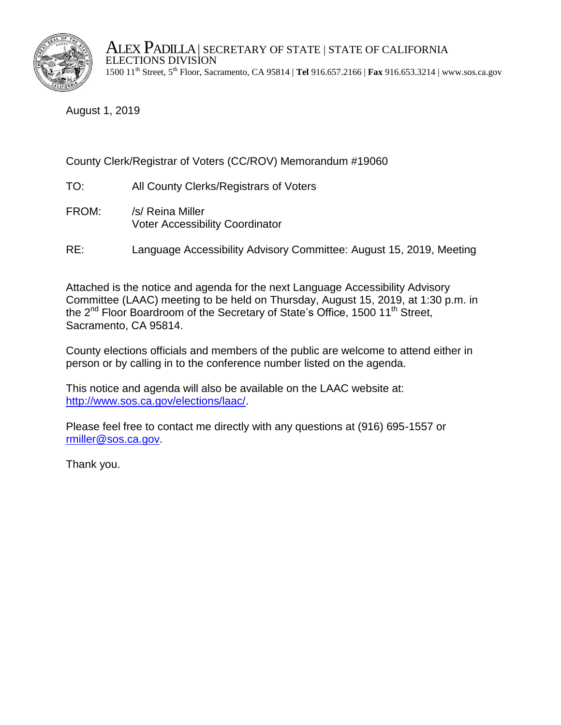

ALEX PADILLA | SECRETARY OF STATE | STATE OF CALIFORNIA ELECTIONS DIVISION 1500 11th Street, 5th Floor, Sacramento, CA 95814 | **Tel** 916.657.2166 | **Fax** 916.653.3214 | www.sos.ca.gov

August 1, 2019

## County Clerk/Registrar of Voters (CC/ROV) Memorandum #19060

- TO: All County Clerks/Registrars of Voters
- FROM: /s/ Reina Miller Voter Accessibility Coordinator
- RE: Language Accessibility Advisory Committee: August 15, 2019, Meeting

Attached is the notice and agenda for the next Language Accessibility Advisory Committee (LAAC) meeting to be held on Thursday, August 15, 2019, at 1:30 p.m. in the 2<sup>nd</sup> Floor Boardroom of the Secretary of State's Office, 1500 11<sup>th</sup> Street, Sacramento, CA 95814.

County elections officials and members of the public are welcome to attend either in person or by calling in to the conference number listed on the agenda.

This notice and agenda will also be available on the LAAC website at: [http://www.sos.ca.gov/elections/laac/.](http://www.sos.ca.gov/elections/laac/)

Please feel free to contact me directly with any questions at (916) 695-1557 or [rmiller@sos.ca.gov.](mailto:rmiller@sos.ca.gov)

Thank you.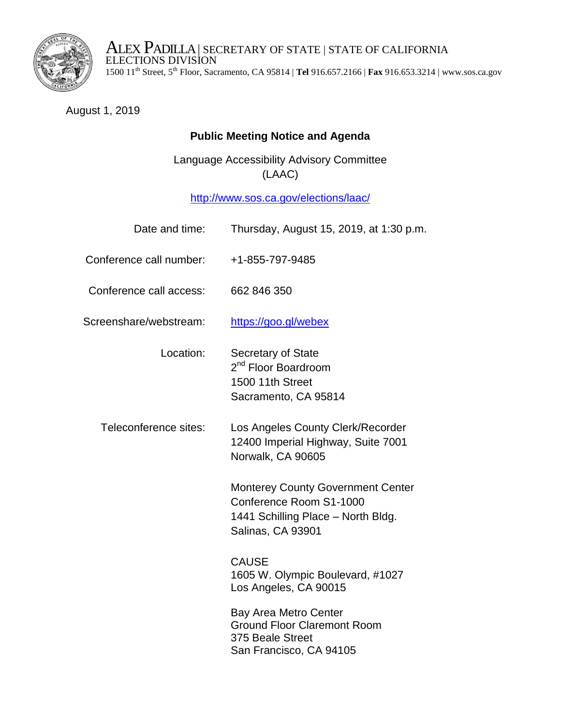

ALEX PADILLA | SECRETARY OF STATE | STATE OF CALIFORNIA ELECTIONS DIVISION 1500 11th Street, 5th Floor, Sacramento, CA 95814 | **Tel** 916.657.2166 | **Fax** 916.653.3214 | www.sos.ca.gov

## August 1, 2019

## **Public Meeting Notice and Agenda**

Language Accessibility Advisory Committee (LAAC)

<http://www.sos.ca.gov/elections/laac/>

| Date and time:          | Thursday, August 15, 2019, at 1:30 p.m.                                                                                               |
|-------------------------|---------------------------------------------------------------------------------------------------------------------------------------|
| Conference call number: | +1-855-797-9485                                                                                                                       |
| Conference call access: | 662 846 350                                                                                                                           |
| Screenshare/webstream:  | https://goo.gl/webex                                                                                                                  |
| Location:               | <b>Secretary of State</b><br>2 <sup>nd</sup> Floor Boardroom<br>1500 11th Street<br>Sacramento, CA 95814                              |
| Teleconference sites:   | Los Angeles County Clerk/Recorder<br>12400 Imperial Highway, Suite 7001<br>Norwalk, CA 90605                                          |
|                         | <b>Monterey County Government Center</b><br>Conference Room S1-1000<br>1441 Schilling Place - North Bldg.<br><b>Salinas, CA 93901</b> |
|                         | <b>CAUSE</b><br>1605 W. Olympic Boulevard, #1027<br>Los Angeles, CA 90015                                                             |
|                         | <b>Bay Area Metro Center</b><br><b>Ground Floor Claremont Room</b><br>375 Beale Street<br>San Francisco, CA 94105                     |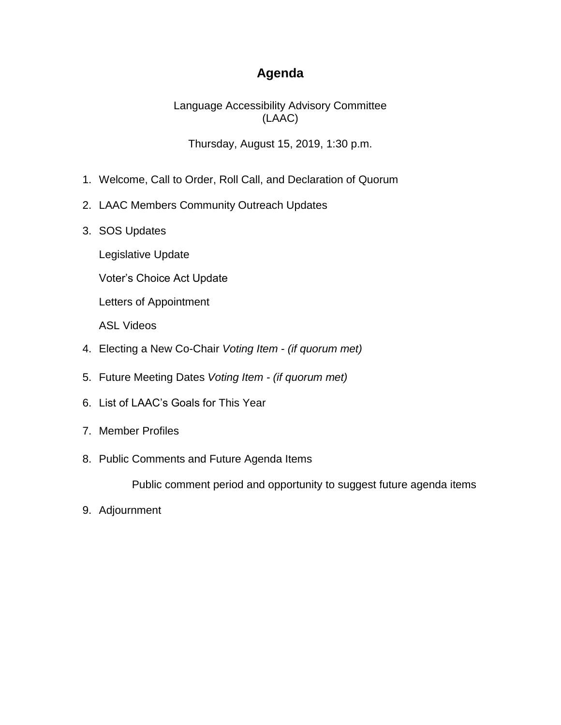## **Agenda**

Language Accessibility Advisory Committee (LAAC)

Thursday, August 15, 2019, 1:30 p.m.

- 1. Welcome, Call to Order, Roll Call, and Declaration of Quorum
- 2. LAAC Members Community Outreach Updates
- 3. SOS Updates
	- Legislative Update
	- Voter's Choice Act Update

Letters of Appointment

ASL Videos

- 4. Electing a New Co-Chair *Voting Item (if quorum met)*
- 5. Future Meeting Dates *Voting Item - (if quorum met)*
- 6. List of LAAC's Goals for This Year
- 7. Member Profiles
- 8. Public Comments and Future Agenda Items

Public comment period and opportunity to suggest future agenda items

9. Adjournment